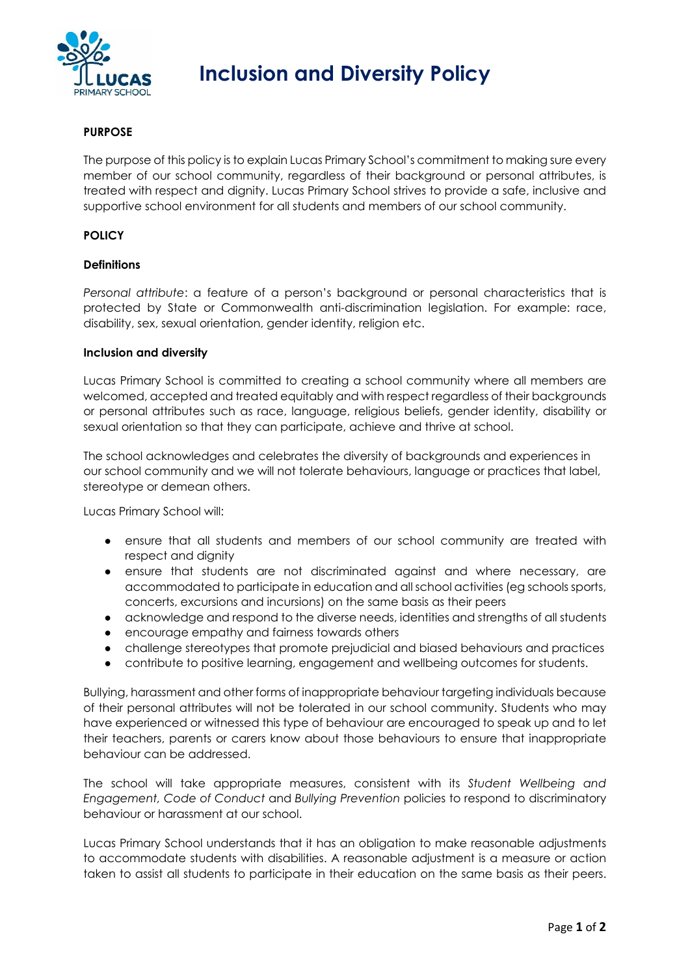

# **Inclusion and Diversity Policy**

## **PURPOSE**

The purpose of this policy is to explain Lucas Primary School's commitment to making sure every member of our school community, regardless of their background or personal attributes, is treated with respect and dignity. Lucas Primary School strives to provide a safe, inclusive and supportive school environment for all students and members of our school community.

## **POLICY**

#### **Definitions**

*Personal attribute*: a feature of a person's background or personal characteristics that is protected by State or Commonwealth anti-discrimination legislation. For example: race, disability, sex, sexual orientation, gender identity, religion etc.

#### **Inclusion and diversity**

Lucas Primary School is committed to creating a school community where all members are welcomed, accepted and treated equitably and with respect regardless of their backgrounds or personal attributes such as race, language, religious beliefs, gender identity, disability or sexual orientation so that they can participate, achieve and thrive at school.

The school acknowledges and celebrates the diversity of backgrounds and experiences in our school community and we will not tolerate behaviours, language or practices that label, stereotype or demean others.

Lucas Primary School will:

- ensure that all students and members of our school community are treated with respect and dignity
- ensure that students are not discriminated against and where necessary, are accommodated to participate in education and all school activities (eg schools sports, concerts, excursions and incursions) on the same basis as their peers
- acknowledge and respond to the diverse needs, identities and strengths of all students
- encourage empathy and fairness towards others
- challenge stereotypes that promote prejudicial and biased behaviours and practices
- contribute to positive learning, engagement and wellbeing outcomes for students.

Bullying, harassment and other forms of inappropriate behaviour targeting individuals because of their personal attributes will not be tolerated in our school community. Students who may have experienced or witnessed this type of behaviour are encouraged to speak up and to let their teachers, parents or carers know about those behaviours to ensure that inappropriate behaviour can be addressed.

The school will take appropriate measures, consistent with its *Student Wellbeing and Engagement, Code of Conduct* and *Bullying Prevention* policies to respond to discriminatory behaviour or harassment at our school.

Lucas Primary School understands that it has an obligation to make reasonable adjustments to accommodate students with disabilities. A reasonable adjustment is a measure or action taken to assist all students to participate in their education on the same basis as their peers.